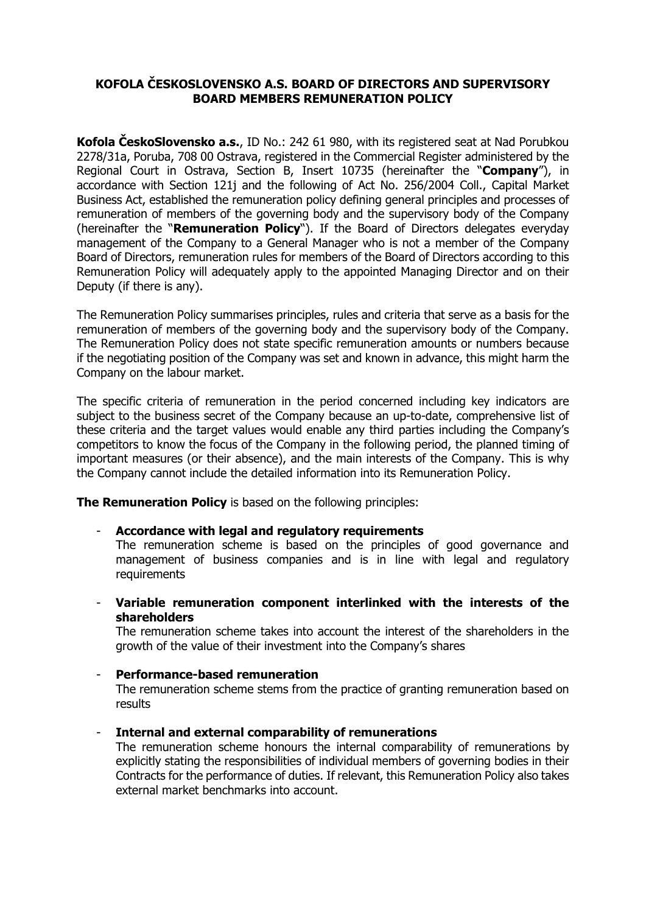# **KOFOLA ČESKOSLOVENSKO A.S. BOARD OF DIRECTORS AND SUPERVISORY BOARD MEMBERS REMUNERATION POLICY**

**Kofola ČeskoSlovensko a.s.**, ID No.: 242 61 980, with its registered seat at Nad Porubkou 2278/31a, Poruba, 708 00 Ostrava, registered in the Commercial Register administered by the Regional Court in Ostrava, Section B, Insert 10735 (hereinafter the "**Company**"), in accordance with Section 121j and the following of Act No. 256/2004 Coll., Capital Market Business Act, established the remuneration policy defining general principles and processes of remuneration of members of the governing body and the supervisory body of the Company (hereinafter the "**Remuneration Policy**"). If the Board of Directors delegates everyday management of the Company to a General Manager who is not a member of the Company Board of Directors, remuneration rules for members of the Board of Directors according to this Remuneration Policy will adequately apply to the appointed Managing Director and on their Deputy (if there is any).

The Remuneration Policy summarises principles, rules and criteria that serve as a basis for the remuneration of members of the governing body and the supervisory body of the Company. The Remuneration Policy does not state specific remuneration amounts or numbers because if the negotiating position of the Company was set and known in advance, this might harm the Company on the labour market.

The specific criteria of remuneration in the period concerned including key indicators are subject to the business secret of the Company because an up-to-date, comprehensive list of these criteria and the target values would enable any third parties including the Company's competitors to know the focus of the Company in the following period, the planned timing of important measures (or their absence), and the main interests of the Company. This is why the Company cannot include the detailed information into its Remuneration Policy.

**The Remuneration Policy** is based on the following principles:

- **Accordance with legal and regulatory requirements**

The remuneration scheme is based on the principles of good governance and management of business companies and is in line with legal and regulatory requirements

- **Variable remuneration component interlinked with the interests of the shareholders**

The remuneration scheme takes into account the interest of the shareholders in the growth of the value of their investment into the Company's shares

### - **Performance-based remuneration**

The remuneration scheme stems from the practice of granting remuneration based on results

- **Internal and external comparability of remunerations**

The remuneration scheme honours the internal comparability of remunerations by explicitly stating the responsibilities of individual members of governing bodies in their Contracts for the performance of duties. If relevant, this Remuneration Policy also takes external market benchmarks into account.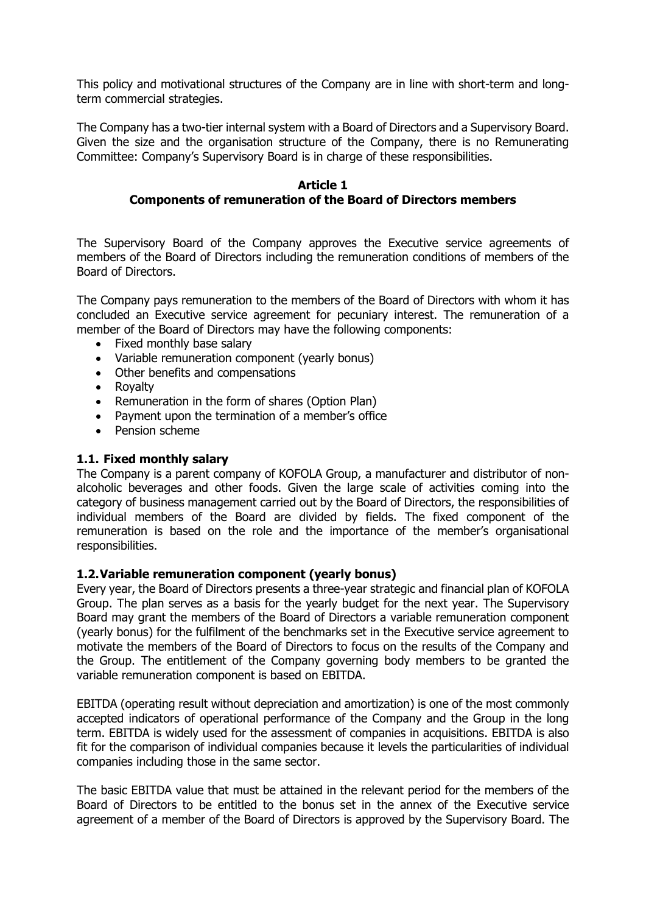This policy and motivational structures of the Company are in line with short-term and longterm commercial strategies.

The Company has a two-tier internal system with a Board of Directors and a Supervisory Board. Given the size and the organisation structure of the Company, there is no Remunerating Committee: Company's Supervisory Board is in charge of these responsibilities.

#### **Article 1 Components of remuneration of the Board of Directors members**

The Supervisory Board of the Company approves the Executive service agreements of members of the Board of Directors including the remuneration conditions of members of the Board of Directors.

The Company pays remuneration to the members of the Board of Directors with whom it has concluded an Executive service agreement for pecuniary interest. The remuneration of a member of the Board of Directors may have the following components:

- Fixed monthly base salary
- Variable remuneration component (yearly bonus)
- Other benefits and compensations
- Royalty
- Remuneration in the form of shares (Option Plan)
- Payment upon the termination of a member's office
- Pension scheme

### **1.1. Fixed monthly salary**

The Company is a parent company of KOFOLA Group, a manufacturer and distributor of nonalcoholic beverages and other foods. Given the large scale of activities coming into the category of business management carried out by the Board of Directors, the responsibilities of individual members of the Board are divided by fields. The fixed component of the remuneration is based on the role and the importance of the member's organisational responsibilities.

### **1.2.Variable remuneration component (yearly bonus)**

Every year, the Board of Directors presents a three-year strategic and financial plan of KOFOLA Group. The plan serves as a basis for the yearly budget for the next year. The Supervisory Board may grant the members of the Board of Directors a variable remuneration component (yearly bonus) for the fulfilment of the benchmarks set in the Executive service agreement to motivate the members of the Board of Directors to focus on the results of the Company and the Group. The entitlement of the Company governing body members to be granted the variable remuneration component is based on EBITDA.

EBITDA (operating result without depreciation and amortization) is one of the most commonly accepted indicators of operational performance of the Company and the Group in the long term. EBITDA is widely used for the assessment of companies in acquisitions. EBITDA is also fit for the comparison of individual companies because it levels the particularities of individual companies including those in the same sector.

The basic EBITDA value that must be attained in the relevant period for the members of the Board of Directors to be entitled to the bonus set in the annex of the Executive service agreement of a member of the Board of Directors is approved by the Supervisory Board. The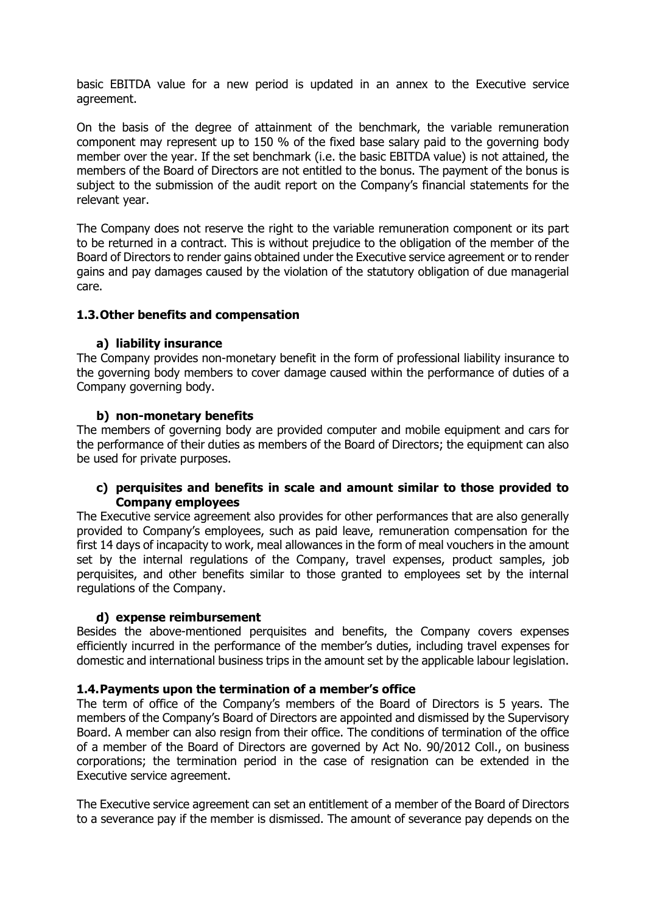basic EBITDA value for a new period is updated in an annex to the Executive service agreement.

On the basis of the degree of attainment of the benchmark, the variable remuneration component may represent up to 150 % of the fixed base salary paid to the governing body member over the year. If the set benchmark (i.e. the basic EBITDA value) is not attained, the members of the Board of Directors are not entitled to the bonus. The payment of the bonus is subject to the submission of the audit report on the Company's financial statements for the relevant year.

The Company does not reserve the right to the variable remuneration component or its part to be returned in a contract. This is without prejudice to the obligation of the member of the Board of Directors to render gains obtained under the Executive service agreement or to render gains and pay damages caused by the violation of the statutory obligation of due managerial care.

## **1.3.Other benefits and compensation**

### **a) liability insurance**

The Company provides non-monetary benefit in the form of professional liability insurance to the governing body members to cover damage caused within the performance of duties of a Company governing body.

## **b) non-monetary benefits**

The members of governing body are provided computer and mobile equipment and cars for the performance of their duties as members of the Board of Directors; the equipment can also be used for private purposes.

## **c) perquisites and benefits in scale and amount similar to those provided to Company employees**

The Executive service agreement also provides for other performances that are also generally provided to Company's employees, such as paid leave, remuneration compensation for the first 14 days of incapacity to work, meal allowances in the form of meal vouchers in the amount set by the internal regulations of the Company, travel expenses, product samples, job perquisites, and other benefits similar to those granted to employees set by the internal regulations of the Company.

# **d) expense reimbursement**

Besides the above-mentioned perquisites and benefits, the Company covers expenses efficiently incurred in the performance of the member's duties, including travel expenses for domestic and international business trips in the amount set by the applicable labour legislation.

### **1.4.Payments upon the termination of a member's office**

The term of office of the Company's members of the Board of Directors is 5 years. The members of the Company's Board of Directors are appointed and dismissed by the Supervisory Board. A member can also resign from their office. The conditions of termination of the office of a member of the Board of Directors are governed by Act No. 90/2012 Coll., on business corporations; the termination period in the case of resignation can be extended in the Executive service agreement.

The Executive service agreement can set an entitlement of a member of the Board of Directors to a severance pay if the member is dismissed. The amount of severance pay depends on the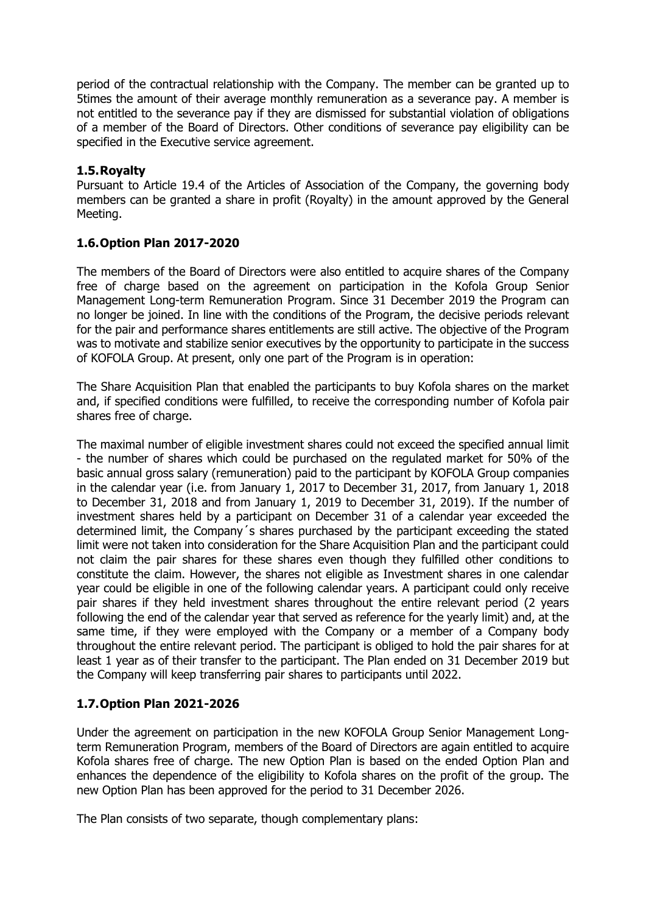period of the contractual relationship with the Company. The member can be granted up to 5times the amount of their average monthly remuneration as a severance pay. A member is not entitled to the severance pay if they are dismissed for substantial violation of obligations of a member of the Board of Directors. Other conditions of severance pay eligibility can be specified in the Executive service agreement.

## **1.5.Royalty**

Pursuant to Article 19.4 of the Articles of Association of the Company, the governing body members can be granted a share in profit (Royalty) in the amount approved by the General Meeting.

# **1.6.Option Plan 2017-2020**

The members of the Board of Directors were also entitled to acquire shares of the Company free of charge based on the agreement on participation in the Kofola Group Senior Management Long-term Remuneration Program. Since 31 December 2019 the Program can no longer be joined. In line with the conditions of the Program, the decisive periods relevant for the pair and performance shares entitlements are still active. The objective of the Program was to motivate and stabilize senior executives by the opportunity to participate in the success of KOFOLA Group. At present, only one part of the Program is in operation:

The Share Acquisition Plan that enabled the participants to buy Kofola shares on the market and, if specified conditions were fulfilled, to receive the corresponding number of Kofola pair shares free of charge.

The maximal number of eligible investment shares could not exceed the specified annual limit - the number of shares which could be purchased on the regulated market for 50% of the basic annual gross salary (remuneration) paid to the participant by KOFOLA Group companies in the calendar year (i.e. from January 1, 2017 to December 31, 2017, from January 1, 2018 to December 31, 2018 and from January 1, 2019 to December 31, 2019). If the number of investment shares held by a participant on December 31 of a calendar year exceeded the determined limit, the Company´s shares purchased by the participant exceeding the stated limit were not taken into consideration for the Share Acquisition Plan and the participant could not claim the pair shares for these shares even though they fulfilled other conditions to constitute the claim. However, the shares not eligible as Investment shares in one calendar year could be eligible in one of the following calendar years. A participant could only receive pair shares if they held investment shares throughout the entire relevant period (2 years following the end of the calendar year that served as reference for the yearly limit) and, at the same time, if they were employed with the Company or a member of a Company body throughout the entire relevant period. The participant is obliged to hold the pair shares for at least 1 year as of their transfer to the participant. The Plan ended on 31 December 2019 but the Company will keep transferring pair shares to participants until 2022.

# **1.7.Option Plan 2021-2026**

Under the agreement on participation in the new KOFOLA Group Senior Management Longterm Remuneration Program, members of the Board of Directors are again entitled to acquire Kofola shares free of charge. The new Option Plan is based on the ended Option Plan and enhances the dependence of the eligibility to Kofola shares on the profit of the group. The new Option Plan has been approved for the period to 31 December 2026.

The Plan consists of two separate, though complementary plans: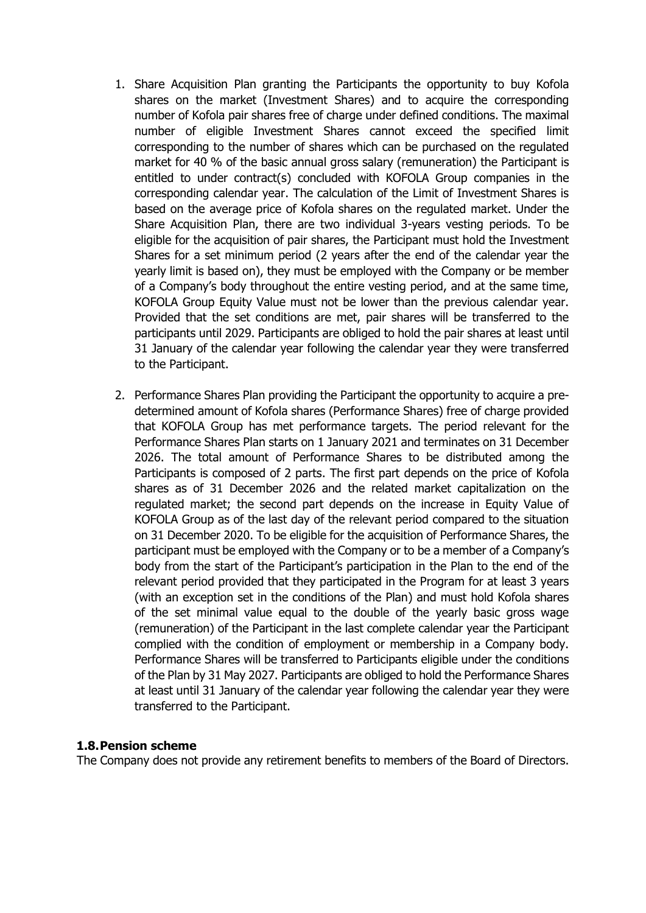- 1. Share Acquisition Plan granting the Participants the opportunity to buy Kofola shares on the market (Investment Shares) and to acquire the corresponding number of Kofola pair shares free of charge under defined conditions. The maximal number of eligible Investment Shares cannot exceed the specified limit corresponding to the number of shares which can be purchased on the regulated market for 40 % of the basic annual gross salary (remuneration) the Participant is entitled to under contract(s) concluded with KOFOLA Group companies in the corresponding calendar year. The calculation of the Limit of Investment Shares is based on the average price of Kofola shares on the regulated market. Under the Share Acquisition Plan, there are two individual 3-years vesting periods. To be eligible for the acquisition of pair shares, the Participant must hold the Investment Shares for a set minimum period (2 years after the end of the calendar year the yearly limit is based on), they must be employed with the Company or be member of a Company's body throughout the entire vesting period, and at the same time, KOFOLA Group Equity Value must not be lower than the previous calendar year. Provided that the set conditions are met, pair shares will be transferred to the participants until 2029. Participants are obliged to hold the pair shares at least until 31 January of the calendar year following the calendar year they were transferred to the Participant.
- 2. Performance Shares Plan providing the Participant the opportunity to acquire a predetermined amount of Kofola shares (Performance Shares) free of charge provided that KOFOLA Group has met performance targets. The period relevant for the Performance Shares Plan starts on 1 January 2021 and terminates on 31 December 2026. The total amount of Performance Shares to be distributed among the Participants is composed of 2 parts. The first part depends on the price of Kofola shares as of 31 December 2026 and the related market capitalization on the regulated market; the second part depends on the increase in Equity Value of KOFOLA Group as of the last day of the relevant period compared to the situation on 31 December 2020. To be eligible for the acquisition of Performance Shares, the participant must be employed with the Company or to be a member of a Company's body from the start of the Participant's participation in the Plan to the end of the relevant period provided that they participated in the Program for at least 3 years (with an exception set in the conditions of the Plan) and must hold Kofola shares of the set minimal value equal to the double of the yearly basic gross wage (remuneration) of the Participant in the last complete calendar year the Participant complied with the condition of employment or membership in a Company body. Performance Shares will be transferred to Participants eligible under the conditions of the Plan by 31 May 2027. Participants are obliged to hold the Performance Shares at least until 31 January of the calendar year following the calendar year they were transferred to the Participant.

### **1.8.Pension scheme**

The Company does not provide any retirement benefits to members of the Board of Directors.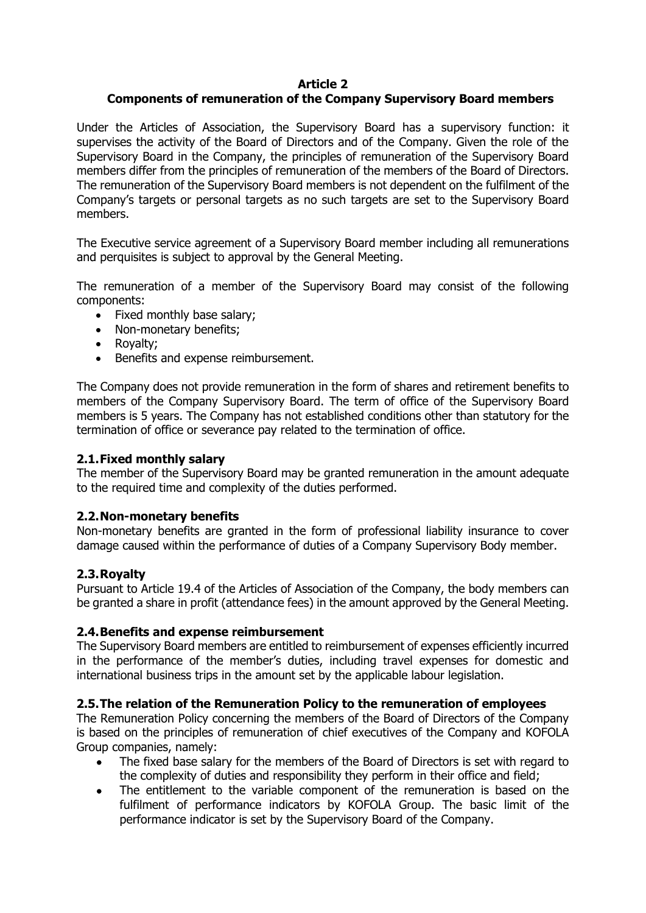# **Article 2**

# **Components of remuneration of the Company Supervisory Board members**

Under the Articles of Association, the Supervisory Board has a supervisory function: it supervises the activity of the Board of Directors and of the Company. Given the role of the Supervisory Board in the Company, the principles of remuneration of the Supervisory Board members differ from the principles of remuneration of the members of the Board of Directors. The remuneration of the Supervisory Board members is not dependent on the fulfilment of the Company's targets or personal targets as no such targets are set to the Supervisory Board members.

The Executive service agreement of a Supervisory Board member including all remunerations and perquisites is subject to approval by the General Meeting.

The remuneration of a member of the Supervisory Board may consist of the following components:

- Fixed monthly base salary:
- Non-monetary benefits;
- Royalty;
- Benefits and expense reimbursement.

The Company does not provide remuneration in the form of shares and retirement benefits to members of the Company Supervisory Board. The term of office of the Supervisory Board members is 5 years. The Company has not established conditions other than statutory for the termination of office or severance pay related to the termination of office.

### **2.1.Fixed monthly salary**

The member of the Supervisory Board may be granted remuneration in the amount adequate to the required time and complexity of the duties performed.

### **2.2.Non-monetary benefits**

Non-monetary benefits are granted in the form of professional liability insurance to cover damage caused within the performance of duties of a Company Supervisory Body member.

### **2.3.Royalty**

Pursuant to Article 19.4 of the Articles of Association of the Company, the body members can be granted a share in profit (attendance fees) in the amount approved by the General Meeting.

### **2.4.Benefits and expense reimbursement**

The Supervisory Board members are entitled to reimbursement of expenses efficiently incurred in the performance of the member's duties, including travel expenses for domestic and international business trips in the amount set by the applicable labour legislation.

### **2.5.The relation of the Remuneration Policy to the remuneration of employees**

The Remuneration Policy concerning the members of the Board of Directors of the Company is based on the principles of remuneration of chief executives of the Company and KOFOLA Group companies, namely:

- The fixed base salary for the members of the Board of Directors is set with regard to the complexity of duties and responsibility they perform in their office and field;
- The entitlement to the variable component of the remuneration is based on the fulfilment of performance indicators by KOFOLA Group. The basic limit of the performance indicator is set by the Supervisory Board of the Company.